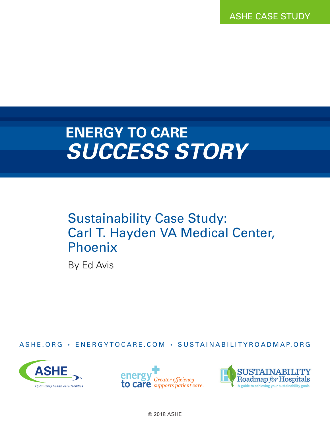ASHE CASE STUDY

## **ENERGY TO CARE** *SUCCESS STORY*

## Sustainability Case Study: Carl T. Hayden VA Medical Center, Phoenix

By Ed Avis

ASHE.ORG • ENERGYTOCARE.COM • SUSTAINABILITYROADMAP.ORG







© 2018 ASHE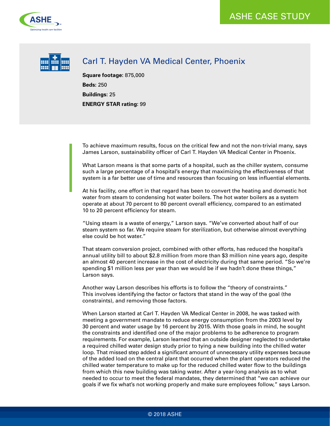



## Carl T. Hayden VA Medical Center, Phoenix

**Square footage:** 875,000 **Beds:** 250 **Buildings:** 25 **ENERGY STAR rating:** 99

To achieve maximum results, focus on the critical few and not the non-trivial many, says James Larson, sustainability officer of Carl T. Hayden VA Medical Center in Phoenix.

What Larson means is that some parts of a hospital, such as the chiller system, consume such a large percentage of a hospital's energy that maximizing the effectiveness of that system is a far better use of time and resources than focusing on less influential elements.

At his facility, one effort in that regard has been to convert the heating and domestic hot water from steam to condensing hot water boilers. The hot water boilers as a system operate at about 70 percent to 80 percent overall efficiency, compared to an estimated 10 to 20 percent efficiency for steam.

"Using steam is a waste of energy," Larson says. "We've converted about half of our steam system so far. We require steam for sterilization, but otherwise almost everything else could be hot water."

That steam conversion project, combined with other efforts, has reduced the hospital's annual utility bill to about \$2.8 million from more than \$3 million nine years ago, despite an almost 40 percent increase in the cost of electricity during that same period. "So we're spending \$1 million less per year than we would be if we hadn't done these things," Larson says.

Another way Larson describes his efforts is to follow the "theory of constraints." This involves identifying the factor or factors that stand in the way of the goal (the constraints), and removing those factors.

When Larson started at Carl T. Hayden VA Medical Center in 2008, he was tasked with meeting a government mandate to reduce energy consumption from the 2003 level by 30 percent and water usage by 16 percent by 2015. With those goals in mind, he sought the constraints and identified one of the major problems to be adherence to program requirements. For example, Larson learned that an outside designer neglected to undertake a required chilled water design study prior to tying a new building into the chilled water loop. That missed step added a significant amount of unnecessary utility expenses because of the added load on the central plant that occurred when the plant operators reduced the chilled water temperature to make up for the reduced chilled water flow to the buildings from which this new building was taking water. After a year-long analysis as to what needed to occur to meet the federal mandates, they determined that "we can achieve our goals if we fix what's not working properly and make sure employees follow," says Larson.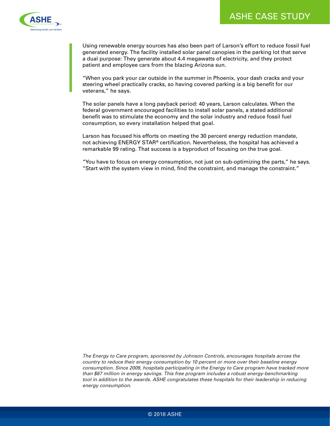

Using renewable energy sources has also been part of Larson's effort to reduce fossil fuel generated energy. The facility installed solar panel canopies in the parking lot that serve a dual purpose: They generate about 4.4 megawatts of electricity, and they protect patient and employee cars from the blazing Arizona sun.

"When you park your car outside in the summer in Phoenix, your dash cracks and your steering wheel practically cracks, so having covered parking is a big benefit for our veterans," he says.

The solar panels have a long payback period: 40 years, Larson calculates. When the federal government encouraged facilities to install solar panels, a stated additional benefit was to stimulate the economy and the solar industry and reduce fossil fuel consumption, so every installation helped that goal.

Larson has focused his efforts on meeting the 30 percent energy reduction mandate, not achieving ENERGY STAR® certification. Nevertheless, the hospital has achieved a remarkable 99 rating. That success is a byproduct of focusing on the true goal.

"You have to focus on energy consumption, not just on sub-optimizing the parts," he says. "Start with the system view in mind, find the constraint, and manage the constraint."

*The Energy to Care program, sponsored by Johnson Controls, encourages hospitals across the country to reduce their energy consumption by 10 percent or more over their baseline energy consumption. Since 2009, hospitals participating in the Energy to Care program have tracked more than \$67 million in energy savings. This free program includes a robust energy-benchmarking*  tool in addition to the awards. ASHE congratulates these hospitals for their leadership in reducing *energy consumption.*